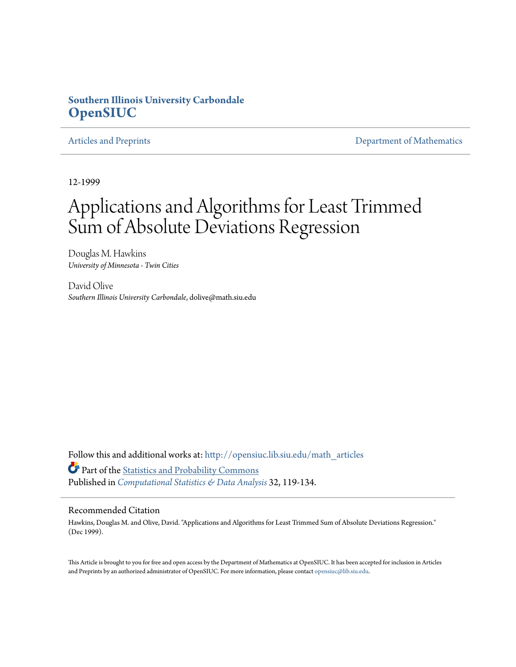#### **Southern Illinois University Carbondale [OpenSIUC](http://opensiuc.lib.siu.edu?utm_source=opensiuc.lib.siu.edu%2Fmath_articles%2F3&utm_medium=PDF&utm_campaign=PDFCoverPages)**

[Articles and Preprints](http://opensiuc.lib.siu.edu/math_articles?utm_source=opensiuc.lib.siu.edu%2Fmath_articles%2F3&utm_medium=PDF&utm_campaign=PDFCoverPages) **[Department of Mathematics](http://opensiuc.lib.siu.edu/math?utm_source=opensiuc.lib.siu.edu%2Fmath_articles%2F3&utm_medium=PDF&utm_campaign=PDFCoverPages)** 

12-1999

## Applications and Algorithms for Least Trimmed Sum of Absolute Deviations Regression

Douglas M. Hawkins *University of Minnesota - Twin Cities*

David Olive *Southern Illinois University Carbondale*, dolive@math.siu.edu

Follow this and additional works at: [http://opensiuc.lib.siu.edu/math\\_articles](http://opensiuc.lib.siu.edu/math_articles?utm_source=opensiuc.lib.siu.edu%2Fmath_articles%2F3&utm_medium=PDF&utm_campaign=PDFCoverPages) Part of the [Statistics and Probability Commons](http://network.bepress.com/hgg/discipline/208?utm_source=opensiuc.lib.siu.edu%2Fmath_articles%2F3&utm_medium=PDF&utm_campaign=PDFCoverPages) Published in *[Computational Statistics & Data Analysis](http://www.elsevier.com/wps/find/journaldescription.cws_home/505539/description#description)* 32, 119-134.

#### Recommended Citation

Hawkins, Douglas M. and Olive, David. "Applications and Algorithms for Least Trimmed Sum of Absolute Deviations Regression." (Dec 1999).

This Article is brought to you for free and open access by the Department of Mathematics at OpenSIUC. It has been accepted for inclusion in Articles and Preprints by an authorized administrator of OpenSIUC. For more information, please contact [opensiuc@lib.siu.edu](mailto:opensiuc@lib.siu.edu).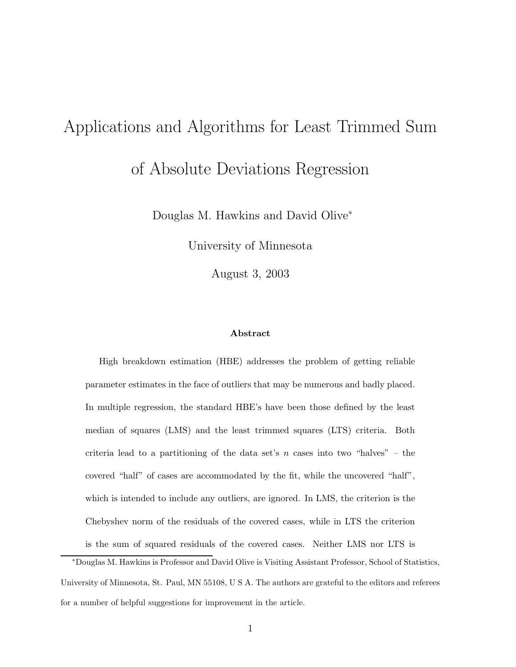# Applications and Algorithms for Least Trimmed Sum of Absolute Deviations Regression

Douglas M. Hawkins and David Olive<sup>∗</sup>

University of Minnesota

August 3, 2003

#### **Abstract**

High breakdown estimation (HBE) addresses the problem of getting reliable parameter estimates in the face of outliers that may be numerous and badly placed. In multiple regression, the standard HBE's have been those defined by the least median of squares (LMS) and the least trimmed squares (LTS) criteria. Both criteria lead to a partitioning of the data set's  $n$  cases into two "halves" – the covered "half" of cases are accommodated by the fit, while the uncovered "half", which is intended to include any outliers, are ignored. In LMS, the criterion is the Chebyshev norm of the residuals of the covered cases, while in LTS the criterion is the sum of squared residuals of the covered cases. Neither LMS nor LTS is

<sup>∗</sup>Douglas M. Hawkins is Professor and David Olive is Visiting Assistant Professor, School of Statistics, University of Minnesota, St. Paul, MN 55108, U S A. The authors are grateful to the editors and referees for a number of helpful suggestions for improvement in the article.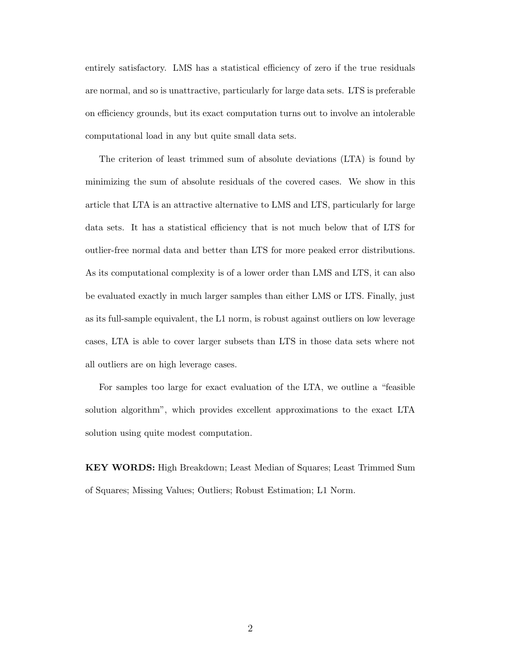entirely satisfactory. LMS has a statistical efficiency of zero if the true residuals are normal, and so is unattractive, particularly for large data sets. LTS is preferable on efficiency grounds, but its exact computation turns out to involve an intolerable computational load in any but quite small data sets.

The criterion of least trimmed sum of absolute deviations (LTA) is found by minimizing the sum of absolute residuals of the covered cases. We show in this article that LTA is an attractive alternative to LMS and LTS, particularly for large data sets. It has a statistical efficiency that is not much below that of LTS for outlier-free normal data and better than LTS for more peaked error distributions. As its computational complexity is of a lower order than LMS and LTS, it can also be evaluated exactly in much larger samples than either LMS or LTS. Finally, just as its full-sample equivalent, the L1 norm, is robust against outliers on low leverage cases, LTA is able to cover larger subsets than LTS in those data sets where not all outliers are on high leverage cases.

For samples too large for exact evaluation of the LTA, we outline a "feasible solution algorithm", which provides excellent approximations to the exact LTA solution using quite modest computation.

**KEY WORDS:** High Breakdown; Least Median of Squares; Least Trimmed Sum of Squares; Missing Values; Outliers; Robust Estimation; L1 Norm.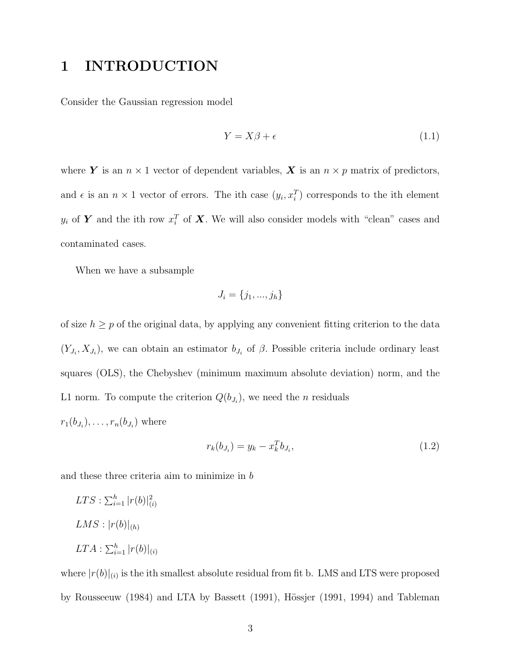#### **1 INTRODUCTION**

Consider the Gaussian regression model

$$
Y = X\beta + \epsilon \tag{1.1}
$$

where *Y* is an  $n \times 1$  vector of dependent variables, *X* is an  $n \times p$  matrix of predictors, and  $\epsilon$  is an  $n \times 1$  vector of errors. The ith case  $(y_i, x_i^T)$  corresponds to the ith element  $y_i$  of *Y* and the ith row  $x_i^T$  of *X*. We will also consider models with "clean" cases and contaminated cases.

When we have a subsample

$$
J_i = \{j_1, ..., j_h\}
$$

of size  $h \geq p$  of the original data, by applying any convenient fitting criterion to the data  $(Y_{J_i}, X_{J_i})$ , we can obtain an estimator  $b_{J_i}$  of  $\beta$ . Possible criteria include ordinary least squares (OLS), the Chebyshev (minimum maximum absolute deviation) norm, and the L1 norm. To compute the criterion  $Q(b_{J_i})$ , we need the *n* residuals  $r_1(b_{J_i}), \ldots, r_n(b_{J_i})$  where

$$
r_k(b_{J_i}) = y_k - x_k^T b_{J_i}, \t\t(1.2)
$$

and these three criteria aim to minimize in *b*

$$
LTS: \sum_{i=1}^{h} |r(b)|_{(i)}^{2}
$$
  

$$
LMS: |r(b)|_{(h)}
$$
  

$$
LTA: \sum_{i=1}^{h} |r(b)|_{(i)}
$$

where  $|r(b)|_{(i)}$  is the ith smallest absolute residual from fit b. LMS and LTS were proposed by Rousseeuw  $(1984)$  and LTA by Bassett  $(1991)$ , Hössjer  $(1991, 1994)$  and Tableman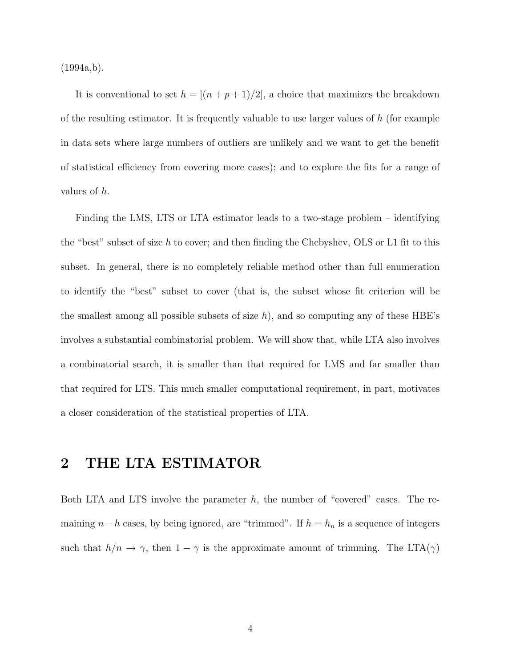$(1994a,b).$ 

It is conventional to set  $h = \frac{(n+p+1)}{2}$ , a choice that maximizes the breakdown of the resulting estimator. It is frequently valuable to use larger values of *h* (for example in data sets where large numbers of outliers are unlikely and we want to get the benefit of statistical efficiency from covering more cases); and to explore the fits for a range of values of *h*.

Finding the LMS, LTS or LTA estimator leads to a two-stage problem – identifying the "best" subset of size *h* to cover; and then finding the Chebyshev, OLS or L1 fit to this subset. In general, there is no completely reliable method other than full enumeration to identify the "best" subset to cover (that is, the subset whose fit criterion will be the smallest among all possible subsets of size *h*), and so computing any of these HBE's involves a substantial combinatorial problem. We will show that, while LTA also involves a combinatorial search, it is smaller than that required for LMS and far smaller than that required for LTS. This much smaller computational requirement, in part, motivates a closer consideration of the statistical properties of LTA.

#### **2 THE LTA ESTIMATOR**

Both LTA and LTS involve the parameter *h*, the number of "covered" cases. The remaining  $n-h$  cases, by being ignored, are "trimmed". If  $h = h_n$  is a sequence of integers such that  $h/n \to \gamma$ , then  $1 - \gamma$  is the approximate amount of trimming. The LTA( $\gamma$ )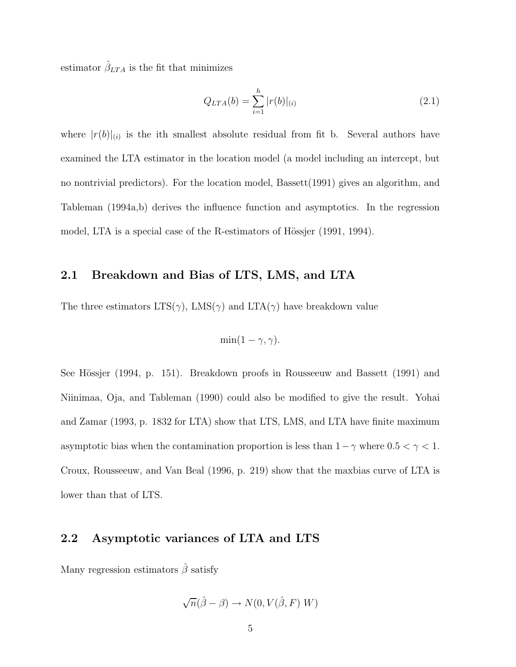estimator  $\hat{\beta}_{LTA}$  is the fit that minimizes

$$
Q_{LTA}(b) = \sum_{i=1}^{h} |r(b)|_{(i)}
$$
\n(2.1)

where  $|r(b)|_{(i)}$  is the ith smallest absolute residual from fit b. Several authors have examined the LTA estimator in the location model (a model including an intercept, but no nontrivial predictors). For the location model, Bassett(1991) gives an algorithm, and Tableman (1994a,b) derives the influence function and asymptotics. In the regression model, LTA is a special case of the R-estimators of Hössjer (1991, 1994).

#### **2.1 Breakdown and Bias of LTS, LMS, and LTA**

The three estimators  $LTS(\gamma)$ ,  $LMS(\gamma)$  and  $LTA(\gamma)$  have breakdown value

$$
\min(1-\gamma,\gamma).
$$

See Hössjer (1994, p. 151). Breakdown proofs in Rousseeuw and Bassett (1991) and Niinimaa, Oja, and Tableman (1990) could also be modified to give the result. Yohai and Zamar (1993, p. 1832 for LTA) show that LTS, LMS, and LTA have finite maximum asymptotic bias when the contamination proportion is less than  $1-\gamma$  where  $0.5 < \gamma < 1$ . Croux, Rousseeuw, and Van Beal (1996, p. 219) show that the maxbias curve of LTA is lower than that of LTS.

#### **2.2 Asymptotic variances of LTA and LTS**

Many regression estimators *β*ˆ satisfy

$$
\sqrt{n}(\hat{\beta} - \beta) \to N(0, V(\hat{\beta}, F) W)
$$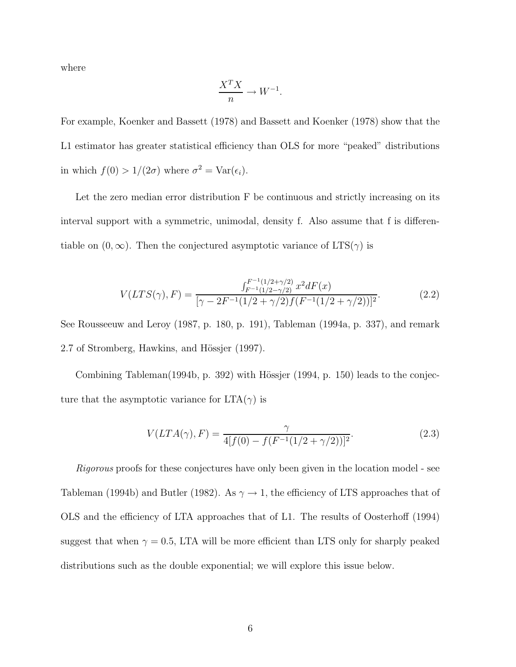where

$$
\frac{X^T X}{n} \to W^{-1}.
$$

For example, Koenker and Bassett (1978) and Bassett and Koenker (1978) show that the L1 estimator has greater statistical efficiency than OLS for more "peaked" distributions in which  $f(0) > 1/(2\sigma)$  where  $\sigma^2 = \text{Var}(\epsilon_i)$ .

Let the zero median error distribution F be continuous and strictly increasing on its interval support with a symmetric, unimodal, density f. Also assume that f is differentiable on  $(0, \infty)$ . Then the conjectured asymptotic variance of  $LTS(\gamma)$  is

$$
V(LTS(\gamma), F) = \frac{\int_{F^{-1}(1/2 + \gamma/2)}^{F^{-1}(1/2 + \gamma/2)} x^2 dF(x)}{[\gamma - 2F^{-1}(1/2 + \gamma/2)](F^{-1}(1/2 + \gamma/2))]^2}.
$$
(2.2)

See Rousseeuw and Leroy (1987, p. 180, p. 191), Tableman (1994a, p. 337), and remark 2.7 of Stromberg, Hawkins, and Hössjer (1997).

Combining Tableman(1994b, p. 392) with Hössjer  $(1994, p. 150)$  leads to the conjecture that the asymptotic variance for  $LTA(\gamma)$  is

$$
V(LTA(\gamma), F) = \frac{\gamma}{4[f(0) - f(F^{-1}(1/2 + \gamma/2))]^2}.
$$
\n(2.3)

*Rigorous* proofs for these conjectures have only been given in the location model - see Tableman (1994b) and Butler (1982). As  $\gamma \to 1$ , the efficiency of LTS approaches that of OLS and the efficiency of LTA approaches that of L1. The results of Oosterhoff (1994) suggest that when  $\gamma = 0.5$ , LTA will be more efficient than LTS only for sharply peaked distributions such as the double exponential; we will explore this issue below.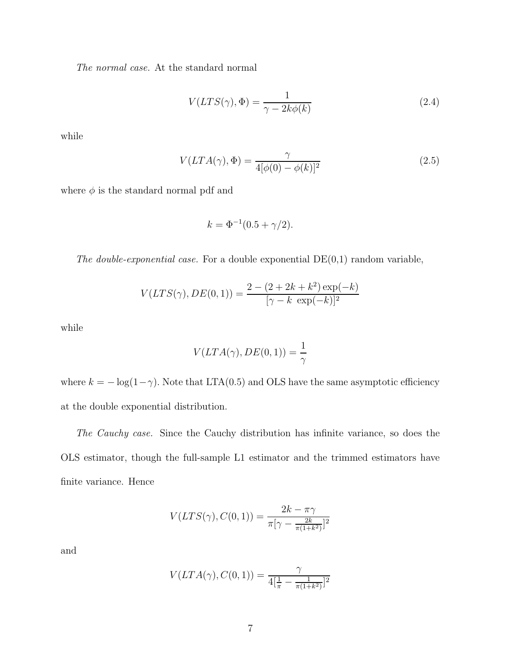*The normal case.* At the standard normal

$$
V(LTS(\gamma), \Phi) = \frac{1}{\gamma - 2k\phi(k)}\tag{2.4}
$$

while

$$
V(LTA(\gamma), \Phi) = \frac{\gamma}{4[\phi(0) - \phi(k)]^2}
$$
\n(2.5)

where  $\phi$  is the standard normal pdf and

$$
k = \Phi^{-1}(0.5 + \gamma/2).
$$

*The double-exponential case.* For a double exponential DE(0,1) random variable,

$$
V(LTS(\gamma), DE(0, 1)) = \frac{2 - (2 + 2k + k^{2})\exp(-k)}{[\gamma - k \exp(-k)]^{2}}
$$

while

$$
V(LTA(\gamma), DE(0,1)) = \frac{1}{\gamma}
$$

where  $k = -\log(1-\gamma)$ . Note that LTA(0.5) and OLS have the same asymptotic efficiency at the double exponential distribution.

*The Cauchy case.* Since the Cauchy distribution has infinite variance, so does the OLS estimator, though the full-sample L1 estimator and the trimmed estimators have finite variance. Hence

$$
V(LTS(\gamma), C(0, 1)) = \frac{2k - \pi\gamma}{\pi[\gamma - \frac{2k}{\pi(1+k^2)}]^2}
$$

and

$$
V(LTA(\gamma), C(0, 1)) = \frac{\gamma}{4[\frac{1}{\pi} - \frac{1}{\pi(1+k^2)}]^2}
$$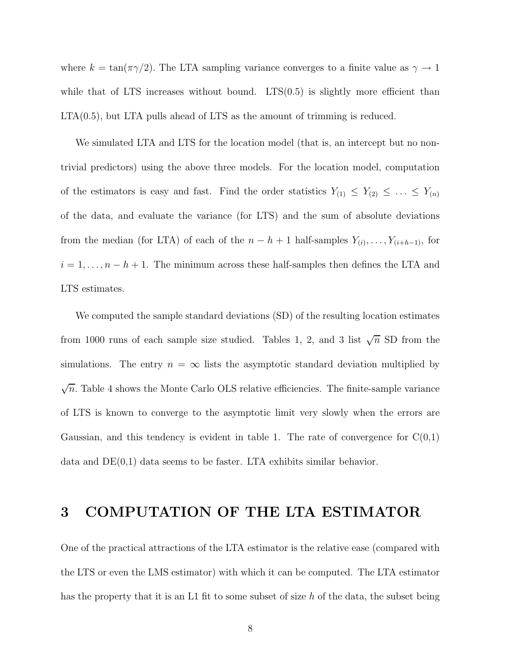where  $k = \tan(\pi \gamma/2)$ . The LTA sampling variance converges to a finite value as  $\gamma \to 1$ while that of LTS increases without bound.  $LTS(0.5)$  is slightly more efficient than  $LTA(0.5)$ , but LTA pulls ahead of LTS as the amount of trimming is reduced.

We simulated LTA and LTS for the location model (that is, an intercept but no nontrivial predictors) using the above three models. For the location model, computation of the estimators is easy and fast. Find the order statistics  $Y_{(1)} \leq Y_{(2)} \leq \ldots \leq Y_{(n)}$ of the data, and evaluate the variance (for LTS) and the sum of absolute deviations from the median (for LTA) of each of the  $n - h + 1$  half-samples  $Y_{(i)}, \ldots, Y_{(i+h-1)}$ , for  $i = 1, \ldots, n - h + 1$ . The minimum across these half-samples then defines the LTA and LTS estimates.

We computed the sample standard deviations (SD) of the resulting location estimates from 1000 runs of each sample size studied. Tables 1, 2, and 3 list  $\sqrt{n}$  SD from the simulations. The entry  $n = \infty$  lists the asymptotic standard deviation multiplied by  $\sqrt{n}$ . Table 4 shows the Monte Carlo OLS relative efficiencies. The finite-sample variance of LTS is known to converge to the asymptotic limit very slowly when the errors are Gaussian, and this tendency is evident in table 1. The rate of convergence for  $C(0,1)$ data and  $DE(0,1)$  data seems to be faster. LTA exhibits similar behavior.

#### **3 COMPUTATION OF THE LTA ESTIMATOR**

One of the practical attractions of the LTA estimator is the relative ease (compared with the LTS or even the LMS estimator) with which it can be computed. The LTA estimator has the property that it is an L1 fit to some subset of size *h* of the data, the subset being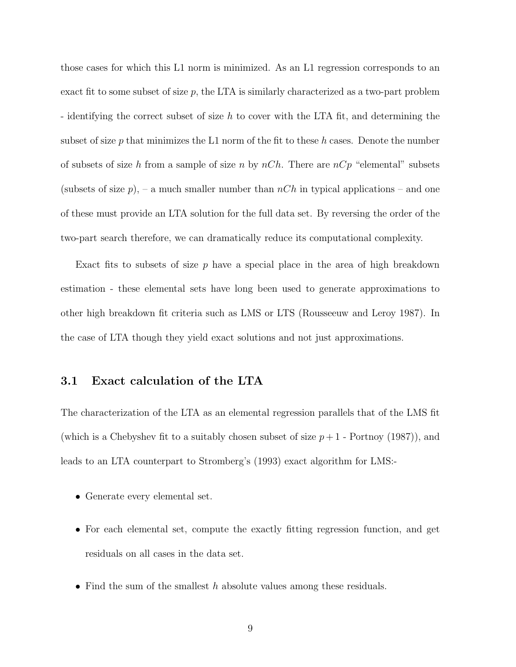those cases for which this L1 norm is minimized. As an L1 regression corresponds to an exact fit to some subset of size *p*, the LTA is similarly characterized as a two-part problem - identifying the correct subset of size *h* to cover with the LTA fit, and determining the subset of size *p* that minimizes the L1 norm of the fit to these *h* cases. Denote the number of subsets of size *h* from a sample of size *n* by *nCh*. There are *nCp* "elemental" subsets (subsets of size  $p$ ), – a much smaller number than  $nCh$  in typical applications – and one of these must provide an LTA solution for the full data set. By reversing the order of the two-part search therefore, we can dramatically reduce its computational complexity.

Exact fits to subsets of size *p* have a special place in the area of high breakdown estimation - these elemental sets have long been used to generate approximations to other high breakdown fit criteria such as LMS or LTS (Rousseeuw and Leroy 1987). In the case of LTA though they yield exact solutions and not just approximations.

#### **3.1 Exact calculation of the LTA**

The characterization of the LTA as an elemental regression parallels that of the LMS fit (which is a Chebyshev fit to a suitably chosen subset of size  $p+1$  - Portnoy (1987)), and leads to an LTA counterpart to Stromberg's (1993) exact algorithm for LMS:-

- Generate every elemental set.
- For each elemental set, compute the exactly fitting regression function, and get residuals on all cases in the data set.
- Find the sum of the smallest *h* absolute values among these residuals.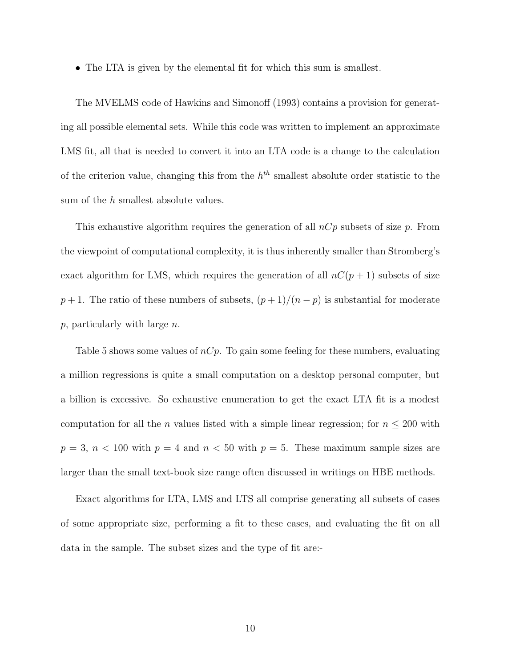• The LTA is given by the elemental fit for which this sum is smallest.

The MVELMS code of Hawkins and Simonoff (1993) contains a provision for generating all possible elemental sets. While this code was written to implement an approximate LMS fit, all that is needed to convert it into an LTA code is a change to the calculation of the criterion value, changing this from the *hth* smallest absolute order statistic to the sum of the *h* smallest absolute values.

This exhaustive algorithm requires the generation of all *nCp* subsets of size *p*. From the viewpoint of computational complexity, it is thus inherently smaller than Stromberg's exact algorithm for LMS, which requires the generation of all  $nC(p+1)$  subsets of size *p* + 1. The ratio of these numbers of subsets,  $(p+1)/(n-p)$  is substantial for moderate *p*, particularly with large *n*.

Table 5 shows some values of *nCp*. To gain some feeling for these numbers, evaluating a million regressions is quite a small computation on a desktop personal computer, but a billion is excessive. So exhaustive enumeration to get the exact LTA fit is a modest computation for all the *n* values listed with a simple linear regression; for  $n \leq 200$  with  $p = 3, n < 100$  with  $p = 4$  and  $n < 50$  with  $p = 5$ . These maximum sample sizes are larger than the small text-book size range often discussed in writings on HBE methods.

Exact algorithms for LTA, LMS and LTS all comprise generating all subsets of cases of some appropriate size, performing a fit to these cases, and evaluating the fit on all data in the sample. The subset sizes and the type of fit are:-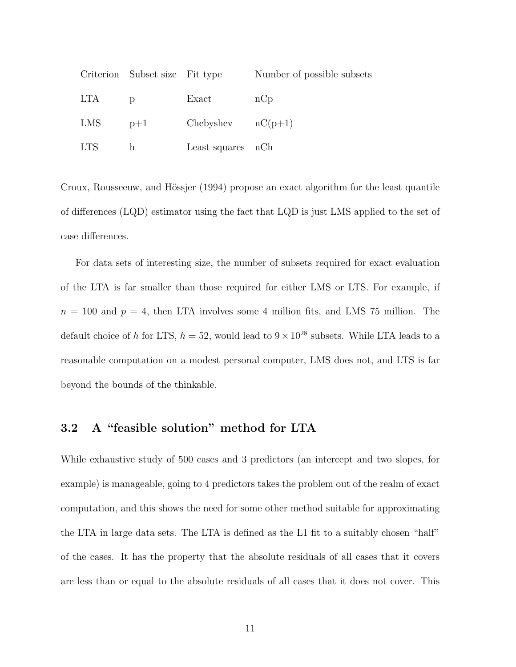|            | Criterion Subset size Fit type |                     | Number of possible subsets |
|------------|--------------------------------|---------------------|----------------------------|
| <b>LTA</b> | D                              | Exact               | nCp                        |
| LMS        | $p+1$                          | Chebyshev $nC(p+1)$ |                            |
| <b>LTS</b> | h.                             | Least squares nCh   |                            |

Croux, Rousseeuw, and Hössjer (1994) propose an exact algorithm for the least quantile of differences (LQD) estimator using the fact that LQD is just LMS applied to the set of case differences.

For data sets of interesting size, the number of subsets required for exact evaluation of the LTA is far smaller than those required for either LMS or LTS. For example, if  $n = 100$  and  $p = 4$ , then LTA involves some 4 million fits, and LMS 75 million. The default choice of *h* for LTS,  $h = 52$ , would lead to  $9 \times 10^{28}$  subsets. While LTA leads to a reasonable computation on a modest personal computer, LMS does not, and LTS is far beyond the bounds of the thinkable.

#### **3.2 A "feasible solution" method for LTA**

While exhaustive study of 500 cases and 3 predictors (an intercept and two slopes, for example) is manageable, going to 4 predictors takes the problem out of the realm of exact computation, and this shows the need for some other method suitable for approximating the LTA in large data sets. The LTA is defined as the L1 fit to a suitably chosen "half" of the cases. It has the property that the absolute residuals of all cases that it covers are less than or equal to the absolute residuals of all cases that it does not cover. This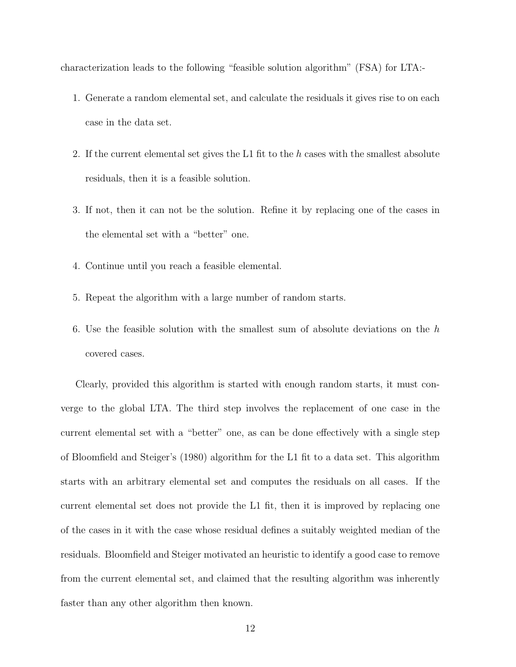characterization leads to the following "feasible solution algorithm" (FSA) for LTA:-

- 1. Generate a random elemental set, and calculate the residuals it gives rise to on each case in the data set.
- 2. If the current elemental set gives the L1 fit to the *h* cases with the smallest absolute residuals, then it is a feasible solution.
- 3. If not, then it can not be the solution. Refine it by replacing one of the cases in the elemental set with a "better" one.
- 4. Continue until you reach a feasible elemental.
- 5. Repeat the algorithm with a large number of random starts.
- 6. Use the feasible solution with the smallest sum of absolute deviations on the *h* covered cases.

Clearly, provided this algorithm is started with enough random starts, it must converge to the global LTA. The third step involves the replacement of one case in the current elemental set with a "better" one, as can be done effectively with a single step of Bloomfield and Steiger's (1980) algorithm for the L1 fit to a data set. This algorithm starts with an arbitrary elemental set and computes the residuals on all cases. If the current elemental set does not provide the L1 fit, then it is improved by replacing one of the cases in it with the case whose residual defines a suitably weighted median of the residuals. Bloomfield and Steiger motivated an heuristic to identify a good case to remove from the current elemental set, and claimed that the resulting algorithm was inherently faster than any other algorithm then known.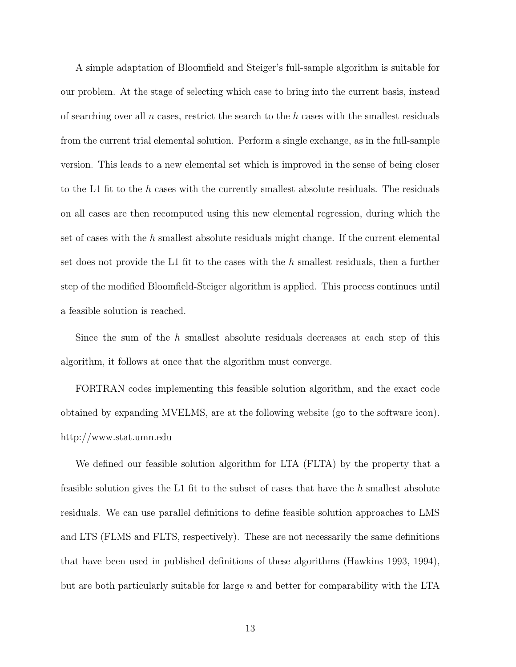A simple adaptation of Bloomfield and Steiger's full-sample algorithm is suitable for our problem. At the stage of selecting which case to bring into the current basis, instead of searching over all *n* cases, restrict the search to the *h* cases with the smallest residuals from the current trial elemental solution. Perform a single exchange, as in the full-sample version. This leads to a new elemental set which is improved in the sense of being closer to the L1 fit to the *h* cases with the currently smallest absolute residuals. The residuals on all cases are then recomputed using this new elemental regression, during which the set of cases with the *h* smallest absolute residuals might change. If the current elemental set does not provide the L1 fit to the cases with the *h* smallest residuals, then a further step of the modified Bloomfield-Steiger algorithm is applied. This process continues until a feasible solution is reached.

Since the sum of the *h* smallest absolute residuals decreases at each step of this algorithm, it follows at once that the algorithm must converge.

FORTRAN codes implementing this feasible solution algorithm, and the exact code obtained by expanding MVELMS, are at the following website (go to the software icon). http://www.stat.umn.edu

We defined our feasible solution algorithm for LTA (FLTA) by the property that a feasible solution gives the L1 fit to the subset of cases that have the *h* smallest absolute residuals. We can use parallel definitions to define feasible solution approaches to LMS and LTS (FLMS and FLTS, respectively). These are not necessarily the same definitions that have been used in published definitions of these algorithms (Hawkins 1993, 1994), but are both particularly suitable for large *n* and better for comparability with the LTA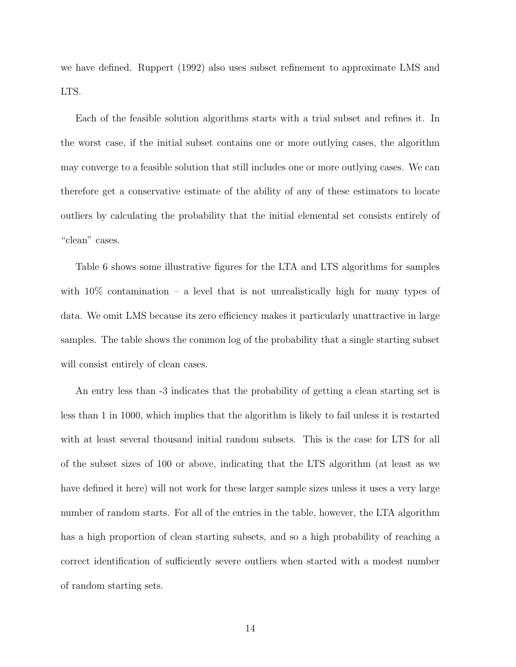we have defined. Ruppert (1992) also uses subset refinement to approximate LMS and LTS.

Each of the feasible solution algorithms starts with a trial subset and refines it. In the worst case, if the initial subset contains one or more outlying cases, the algorithm may converge to a feasible solution that still includes one or more outlying cases. We can therefore get a conservative estimate of the ability of any of these estimators to locate outliers by calculating the probability that the initial elemental set consists entirely of "clean" cases.

Table 6 shows some illustrative figures for the LTA and LTS algorithms for samples with  $10\%$  contamination – a level that is not unrealistically high for many types of data. We omit LMS because its zero efficiency makes it particularly unattractive in large samples. The table shows the common log of the probability that a single starting subset will consist entirely of clean cases.

An entry less than -3 indicates that the probability of getting a clean starting set is less than 1 in 1000, which implies that the algorithm is likely to fail unless it is restarted with at least several thousand initial random subsets. This is the case for LTS for all of the subset sizes of 100 or above, indicating that the LTS algorithm (at least as we have defined it here) will not work for these larger sample sizes unless it uses a very large number of random starts. For all of the entries in the table, however, the LTA algorithm has a high proportion of clean starting subsets, and so a high probability of reaching a correct identification of sufficiently severe outliers when started with a modest number of random starting sets.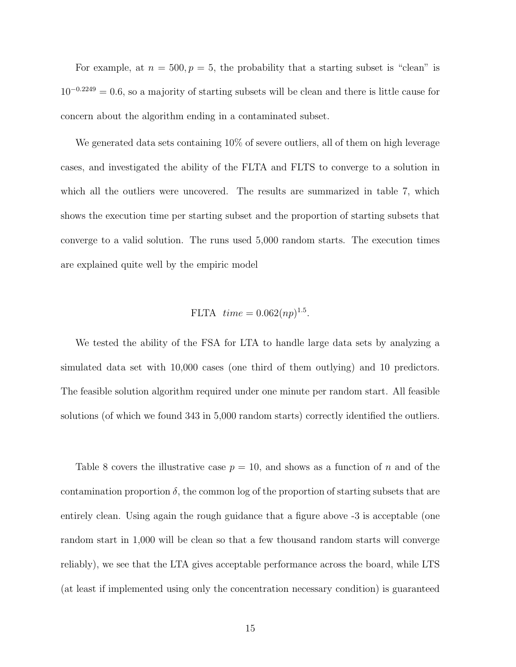For example, at  $n = 500, p = 5$ , the probability that a starting subset is "clean" is 10−0*.*<sup>2249</sup> = 0.6, so a majority of starting subsets will be clean and there is little cause for concern about the algorithm ending in a contaminated subset.

We generated data sets containing 10% of severe outliers, all of them on high leverage cases, and investigated the ability of the FLTA and FLTS to converge to a solution in which all the outliers were uncovered. The results are summarized in table 7, which shows the execution time per starting subset and the proportion of starting subsets that converge to a valid solution. The runs used 5,000 random starts. The execution times are explained quite well by the empiric model

FLTA 
$$
time = 0.062(np)^{1.5}
$$
.

We tested the ability of the FSA for LTA to handle large data sets by analyzing a simulated data set with 10,000 cases (one third of them outlying) and 10 predictors. The feasible solution algorithm required under one minute per random start. All feasible solutions (of which we found 343 in 5,000 random starts) correctly identified the outliers.

Table 8 covers the illustrative case  $p = 10$ , and shows as a function of *n* and of the contamination proportion  $\delta$ , the common log of the proportion of starting subsets that are entirely clean. Using again the rough guidance that a figure above -3 is acceptable (one random start in 1,000 will be clean so that a few thousand random starts will converge reliably), we see that the LTA gives acceptable performance across the board, while LTS (at least if implemented using only the concentration necessary condition) is guaranteed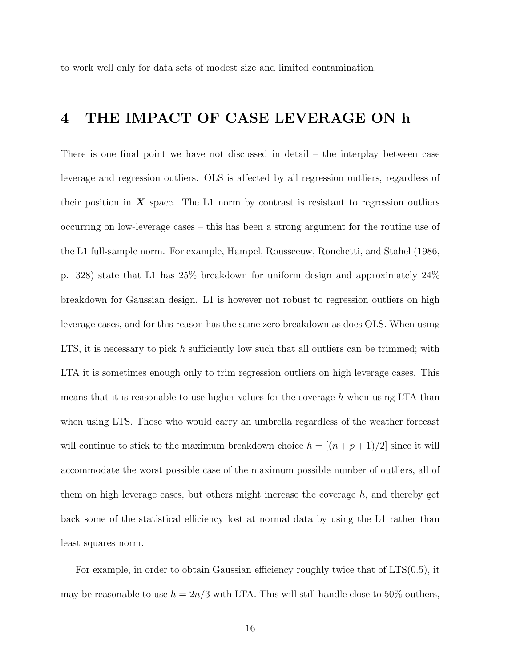to work well only for data sets of modest size and limited contamination.

### **4 THE IMPACT OF CASE LEVERAGE ON h**

There is one final point we have not discussed in detail – the interplay between case leverage and regression outliers. OLS is affected by all regression outliers, regardless of their position in  $\boldsymbol{X}$  space. The L1 norm by contrast is resistant to regression outliers occurring on low-leverage cases – this has been a strong argument for the routine use of the L1 full-sample norm. For example, Hampel, Rousseeuw, Ronchetti, and Stahel (1986, p. 328) state that L1 has 25% breakdown for uniform design and approximately 24% breakdown for Gaussian design. L1 is however not robust to regression outliers on high leverage cases, and for this reason has the same zero breakdown as does OLS. When using LTS, it is necessary to pick *h* sufficiently low such that all outliers can be trimmed; with LTA it is sometimes enough only to trim regression outliers on high leverage cases. This means that it is reasonable to use higher values for the coverage *h* when using LTA than when using LTS. Those who would carry an umbrella regardless of the weather forecast will continue to stick to the maximum breakdown choice  $h = \left[ (n + p + 1)/2 \right]$  since it will accommodate the worst possible case of the maximum possible number of outliers, all of them on high leverage cases, but others might increase the coverage *h*, and thereby get back some of the statistical efficiency lost at normal data by using the L1 rather than least squares norm.

For example, in order to obtain Gaussian efficiency roughly twice that of  $LTS(0.5)$ , it may be reasonable to use  $h = 2n/3$  with LTA. This will still handle close to 50% outliers,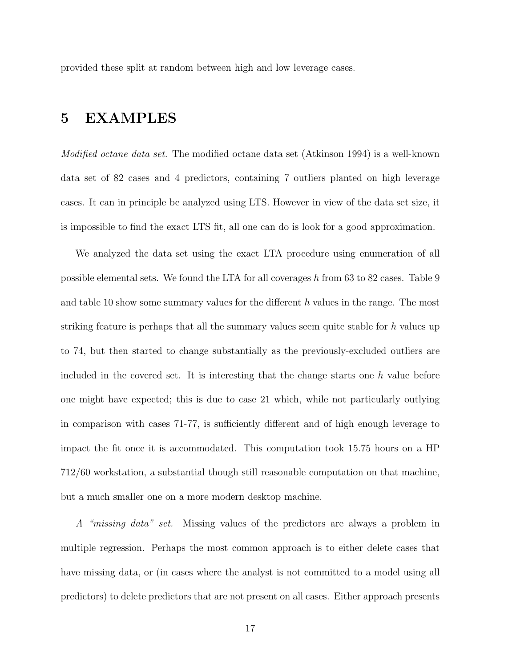provided these split at random between high and low leverage cases.

#### **5 EXAMPLES**

*Modified octane data set.* The modified octane data set (Atkinson 1994) is a well-known data set of 82 cases and 4 predictors, containing 7 outliers planted on high leverage cases. It can in principle be analyzed using LTS. However in view of the data set size, it is impossible to find the exact LTS fit, all one can do is look for a good approximation.

We analyzed the data set using the exact LTA procedure using enumeration of all possible elemental sets. We found the LTA for all coverages *h* from 63 to 82 cases. Table 9 and table 10 show some summary values for the different *h* values in the range. The most striking feature is perhaps that all the summary values seem quite stable for *h* values up to 74, but then started to change substantially as the previously-excluded outliers are included in the covered set. It is interesting that the change starts one *h* value before one might have expected; this is due to case 21 which, while not particularly outlying in comparison with cases 71-77, is sufficiently different and of high enough leverage to impact the fit once it is accommodated. This computation took 15.75 hours on a HP 712/60 workstation, a substantial though still reasonable computation on that machine, but a much smaller one on a more modern desktop machine.

*A "missing data" set.* Missing values of the predictors are always a problem in multiple regression. Perhaps the most common approach is to either delete cases that have missing data, or (in cases where the analyst is not committed to a model using all predictors) to delete predictors that are not present on all cases. Either approach presents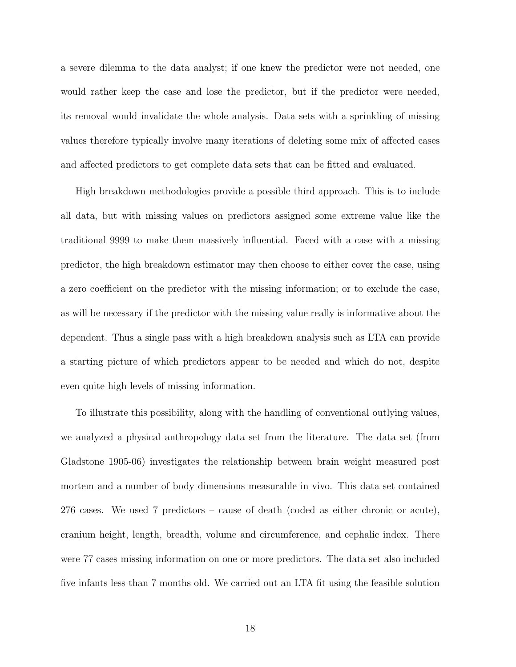a severe dilemma to the data analyst; if one knew the predictor were not needed, one would rather keep the case and lose the predictor, but if the predictor were needed, its removal would invalidate the whole analysis. Data sets with a sprinkling of missing values therefore typically involve many iterations of deleting some mix of affected cases and affected predictors to get complete data sets that can be fitted and evaluated.

High breakdown methodologies provide a possible third approach. This is to include all data, but with missing values on predictors assigned some extreme value like the traditional 9999 to make them massively influential. Faced with a case with a missing predictor, the high breakdown estimator may then choose to either cover the case, using a zero coefficient on the predictor with the missing information; or to exclude the case, as will be necessary if the predictor with the missing value really is informative about the dependent. Thus a single pass with a high breakdown analysis such as LTA can provide a starting picture of which predictors appear to be needed and which do not, despite even quite high levels of missing information.

To illustrate this possibility, along with the handling of conventional outlying values, we analyzed a physical anthropology data set from the literature. The data set (from Gladstone 1905-06) investigates the relationship between brain weight measured post mortem and a number of body dimensions measurable in vivo. This data set contained 276 cases. We used 7 predictors – cause of death (coded as either chronic or acute), cranium height, length, breadth, volume and circumference, and cephalic index. There were 77 cases missing information on one or more predictors. The data set also included five infants less than 7 months old. We carried out an LTA fit using the feasible solution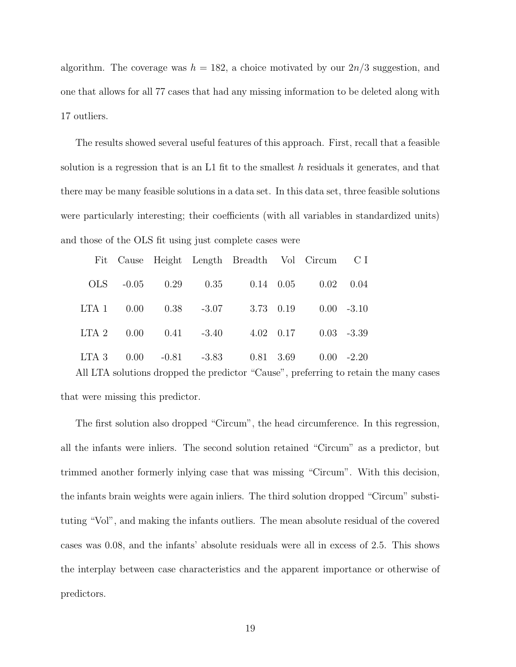algorithm. The coverage was  $h = 182$ , a choice motivated by our  $2n/3$  suggestion, and one that allows for all 77 cases that had any missing information to be deleted along with 17 outliers.

The results showed several useful features of this approach. First, recall that a feasible solution is a regression that is an L1 fit to the smallest *h* residuals it generates, and that there may be many feasible solutions in a data set. In this data set, three feasible solutions were particularly interesting; their coefficients (with all variables in standardized units) and those of the OLS fit using just complete cases were

|     |  | Fit Cause Height Length Breadth Vol Circum CI |  |                   |
|-----|--|-----------------------------------------------|--|-------------------|
| OLS |  | $-0.05$ $0.29$ $0.35$ $0.14$ $0.05$           |  | $0.02 \quad 0.04$ |
|     |  | LTA 1 0.00 0.38 -3.07 3.73 0.19               |  | $0.00 - 3.10$     |
|     |  | LTA $2$ 0.00 0.41 -3.40 4.02 0.17 0.03 -3.39  |  |                   |
|     |  | LTA 3 0.00 -0.81 -3.83 0.81 3.69              |  | $0.00 -2.20$      |

All LTA solutions dropped the predictor "Cause", preferring to retain the many cases that were missing this predictor.

The first solution also dropped "Circum", the head circumference. In this regression, all the infants were inliers. The second solution retained "Circum" as a predictor, but trimmed another formerly inlying case that was missing "Circum". With this decision, the infants brain weights were again inliers. The third solution dropped "Circum" substituting "Vol", and making the infants outliers. The mean absolute residual of the covered cases was 0.08, and the infants' absolute residuals were all in excess of 2.5. This shows the interplay between case characteristics and the apparent importance or otherwise of predictors.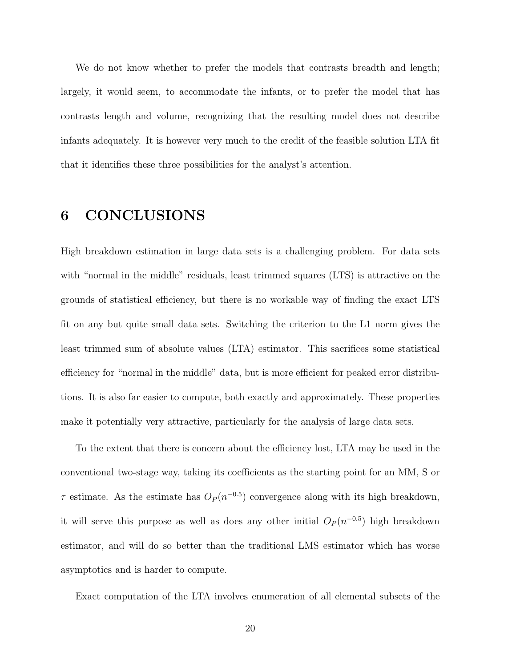We do not know whether to prefer the models that contrasts breadth and length; largely, it would seem, to accommodate the infants, or to prefer the model that has contrasts length and volume, recognizing that the resulting model does not describe infants adequately. It is however very much to the credit of the feasible solution LTA fit that it identifies these three possibilities for the analyst's attention.

### **6 CONCLUSIONS**

High breakdown estimation in large data sets is a challenging problem. For data sets with "normal in the middle" residuals, least trimmed squares (LTS) is attractive on the grounds of statistical efficiency, but there is no workable way of finding the exact LTS fit on any but quite small data sets. Switching the criterion to the L1 norm gives the least trimmed sum of absolute values (LTA) estimator. This sacrifices some statistical efficiency for "normal in the middle" data, but is more efficient for peaked error distributions. It is also far easier to compute, both exactly and approximately. These properties make it potentially very attractive, particularly for the analysis of large data sets.

To the extent that there is concern about the efficiency lost, LTA may be used in the conventional two-stage way, taking its coefficients as the starting point for an MM, S or *τ* estimate. As the estimate has  $O_P(n^{-0.5})$  convergence along with its high breakdown, it will serve this purpose as well as does any other initial  $O_P(n^{-0.5})$  high breakdown estimator, and will do so better than the traditional LMS estimator which has worse asymptotics and is harder to compute.

Exact computation of the LTA involves enumeration of all elemental subsets of the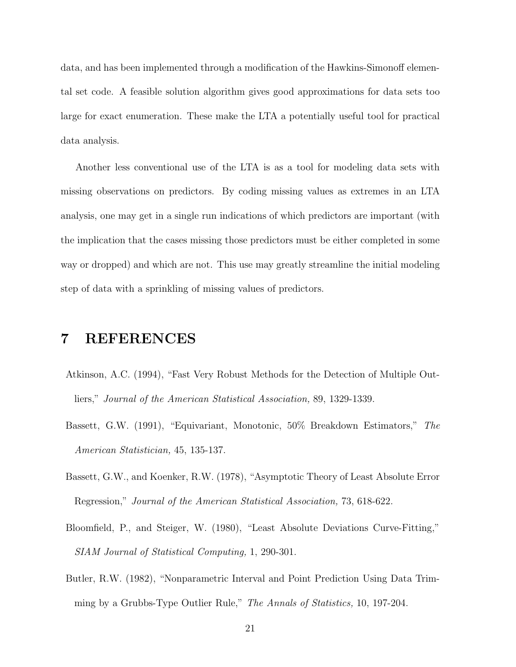data, and has been implemented through a modification of the Hawkins-Simonoff elemental set code. A feasible solution algorithm gives good approximations for data sets too large for exact enumeration. These make the LTA a potentially useful tool for practical data analysis.

Another less conventional use of the LTA is as a tool for modeling data sets with missing observations on predictors. By coding missing values as extremes in an LTA analysis, one may get in a single run indications of which predictors are important (with the implication that the cases missing those predictors must be either completed in some way or dropped) and which are not. This use may greatly streamline the initial modeling step of data with a sprinkling of missing values of predictors.

#### **7 REFERENCES**

- Atkinson, A.C. (1994), "Fast Very Robust Methods for the Detection of Multiple Outliers," *Journal of the American Statistical Association,* 89, 1329-1339.
- Bassett, G.W. (1991), "Equivariant, Monotonic, 50% Breakdown Estimators," *The American Statistician,* 45, 135-137.
- Bassett, G.W., and Koenker, R.W. (1978), "Asymptotic Theory of Least Absolute Error Regression," *Journal of the American Statistical Association,* 73, 618-622.
- Bloomfield, P., and Steiger, W. (1980), "Least Absolute Deviations Curve-Fitting," *SIAM Journal of Statistical Computing,* 1, 290-301.
- Butler, R.W. (1982), "Nonparametric Interval and Point Prediction Using Data Trimming by a Grubbs-Type Outlier Rule," *The Annals of Statistics,* 10, 197-204.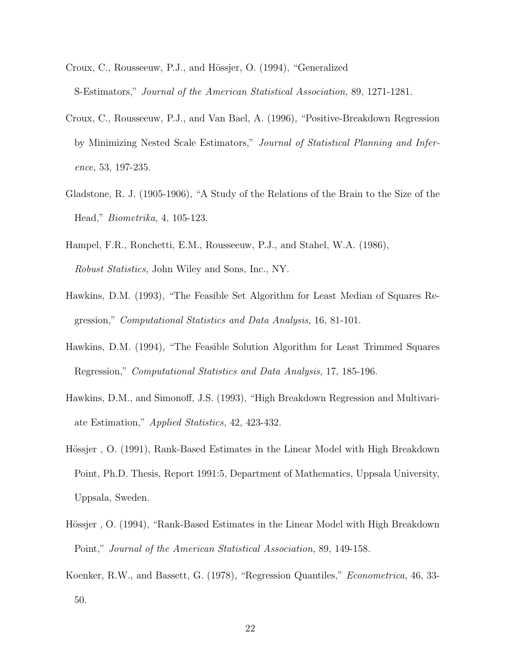- Croux, C., Rousseeuw, P.J., and Hössjer, O. (1994), "Generalized S-Estimators," *Journal of the American Statistical Association,* 89, 1271-1281.
- Croux, C., Rousseeuw, P.J., and Van Bael, A. (1996), "Positive-Breakdown Regression by Minimizing Nested Scale Estimators," *Journal of Statistical Planning and Inference,* 53, 197-235.
- Gladstone, R. J. (1905-1906), "A Study of the Relations of the Brain to the Size of the Head," *Biometrika,* 4, 105-123.
- Hampel, F.R., Ronchetti, E.M., Rousseeuw, P.J., and Stahel, W.A. (1986), *Robust Statistics,* John Wiley and Sons, Inc., NY.
- Hawkins, D.M. (1993), "The Feasible Set Algorithm for Least Median of Squares Regression," *Computational Statistics and Data Analysis,* 16, 81-101.
- Hawkins, D.M. (1994), "The Feasible Solution Algorithm for Least Trimmed Squares Regression," *Computational Statistics and Data Analysis,* 17, 185-196.
- Hawkins, D.M., and Simonoff, J.S. (1993), "High Breakdown Regression and Multivariate Estimation," *Applied Statistics,* 42, 423-432.
- Hössjer, O. (1991), Rank-Based Estimates in the Linear Model with High Breakdown Point, Ph.D. Thesis, Report 1991:5, Department of Mathematics, Uppsala University, Uppsala, Sweden.
- Hössjer, O. (1994), "Rank-Based Estimates in the Linear Model with High Breakdown Point," *Journal of the American Statistical Association,* 89, 149-158.
- Koenker, R.W., and Bassett, G. (1978), "Regression Quantiles," *Econometrica,* 46, 33- 50.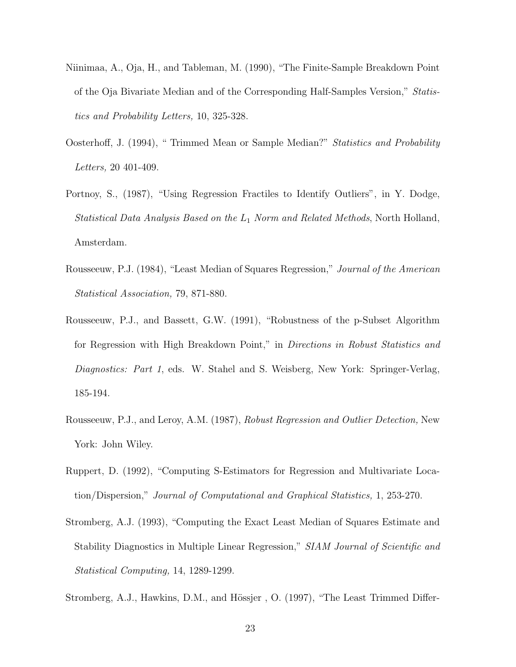- Niinimaa, A., Oja, H., and Tableman, M. (1990), "The Finite-Sample Breakdown Point of the Oja Bivariate Median and of the Corresponding Half-Samples Version," *Statistics and Probability Letters,* 10, 325-328.
- Oosterhoff, J. (1994), " Trimmed Mean or Sample Median?" *Statistics and Probability Letters,* 20 401-409.
- Portnoy, S., (1987), "Using Regression Fractiles to Identify Outliers", in Y. Dodge, *Statistical Data Analysis Based on the L*<sup>1</sup> *Norm and Related Methods*, North Holland, Amsterdam.
- Rousseeuw, P.J. (1984), "Least Median of Squares Regression," *Journal of the American Statistical Association,* 79, 871-880.
- Rousseeuw, P.J., and Bassett, G.W. (1991), "Robustness of the p-Subset Algorithm for Regression with High Breakdown Point," in *Directions in Robust Statistics and Diagnostics: Part 1*, eds. W. Stahel and S. Weisberg, New York: Springer-Verlag, 185-194.
- Rousseeuw, P.J., and Leroy, A.M. (1987), *Robust Regression and Outlier Detection,* New York: John Wiley.
- Ruppert, D. (1992), "Computing S-Estimators for Regression and Multivariate Location/Dispersion," *Journal of Computational and Graphical Statistics,* 1, 253-270.
- Stromberg, A.J. (1993), "Computing the Exact Least Median of Squares Estimate and Stability Diagnostics in Multiple Linear Regression," *SIAM Journal of Scientific and Statistical Computing,* 14, 1289-1299.
- Stromberg, A.J., Hawkins, D.M., and Hössjer, O. (1997), "The Least Trimmed Differ-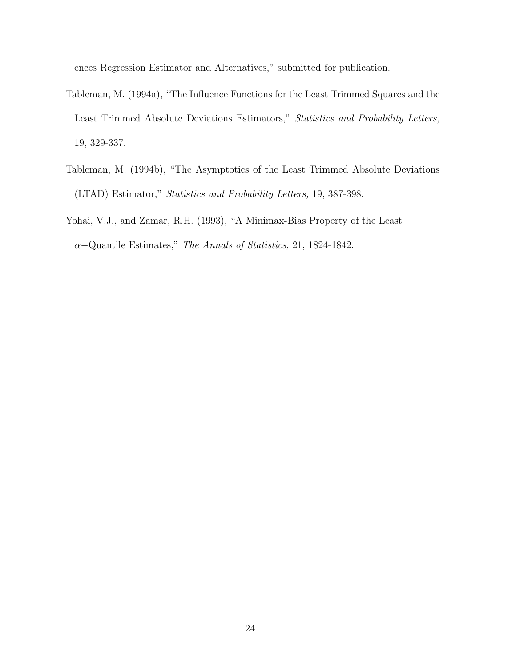ences Regression Estimator and Alternatives," submitted for publication.

- Tableman, M. (1994a), "The Influence Functions for the Least Trimmed Squares and the Least Trimmed Absolute Deviations Estimators," *Statistics and Probability Letters,* 19, 329-337.
- Tableman, M. (1994b), "The Asymptotics of the Least Trimmed Absolute Deviations (LTAD) Estimator," *Statistics and Probability Letters,* 19, 387-398.
- Yohai, V.J., and Zamar, R.H. (1993), "A Minimax-Bias Property of the Least *α*−Quantile Estimates," *The Annals of Statistics,* 21, 1824-1842.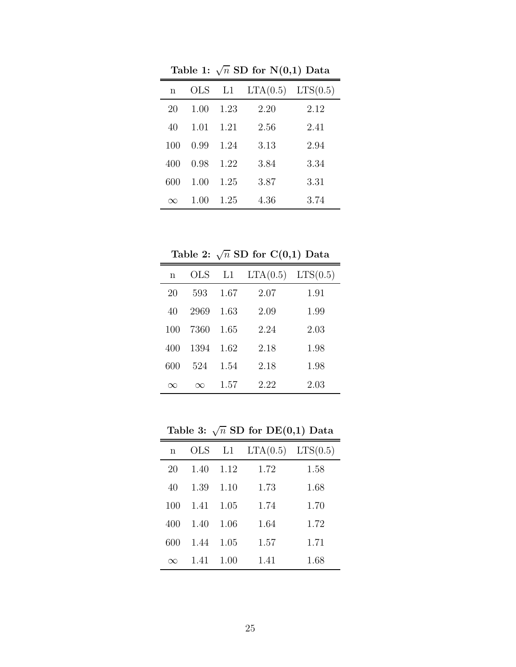| Lable 1. $\sqrt{n}$ SD for $\Gamma(\theta,1)$ Data |            |                   |                       |      |  |  |  |  |
|----------------------------------------------------|------------|-------------------|-----------------------|------|--|--|--|--|
| n                                                  | <b>OLS</b> | L1                | $LTA(0.5)$ $LTS(0.5)$ |      |  |  |  |  |
| 20                                                 |            | $1.00 \quad 1.23$ | 2.20                  | 2.12 |  |  |  |  |
| 40                                                 | 1.01       | - 1.21            | 2.56                  | 2.41 |  |  |  |  |
| 100                                                | 0.99       | 1.24              | 3.13                  | 2.94 |  |  |  |  |
| 400                                                | 0.98       | 1.22              | 3.84                  | 3.34 |  |  |  |  |
| 600                                                | 1.00       | 1.25              | 3.87                  | 3.31 |  |  |  |  |
| $\infty$                                           | 1.00       | 1.25              | 4.36                  | 3.74 |  |  |  |  |
|                                                    |            |                   |                       |      |  |  |  |  |

**Table 1:** √*n* **SD for N(0,1) Data**

Table 2:  $\sqrt{n}$  SD for C(0,1) Data

| n   | OLS      | L1   | LTA(0.5) | LTS(0.5) |
|-----|----------|------|----------|----------|
| 20  | 593      | 1.67 | 2.07     | 1.91     |
| 40  | 2969     | 1.63 | 2.09     | 1.99     |
| 100 | 7360     | 1.65 | 2.24     | 2.03     |
| 400 | 1394     | 1.62 | 2.18     | 1.98     |
| 600 | 524      | 1.54 | 2.18     | 1.98     |
| Y   | $\infty$ | 1.57 | 2.22     | 2.03     |

Table 3:  $\sqrt{n}$  SD for DE(0,1) Data

| n   | <b>OLS</b> | L1   | LTA(0.5) | LTS(0.5) |
|-----|------------|------|----------|----------|
| 20  | 1.40       | 1.12 | 1.72     | 1.58     |
| 40  | 1.39       | 1.10 | 1.73     | 1.68     |
| 100 | 1.41       | 1.05 | 1.74     | 1.70     |
| 400 | 1.40       | 1.06 | 1.64     | 1.72     |
| 600 | 1.44       | 1.05 | 1.57     | 1.71     |
|     | 1.41       | 1.00 | 1.41     | 1.68     |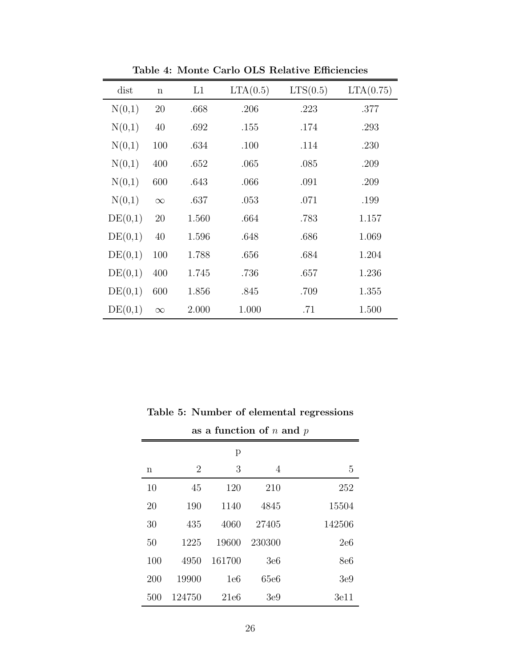| dist    | $\mathbf n$ | L1    | LTA(0.5) | LTS(0.5) | LTA(0.75) |
|---------|-------------|-------|----------|----------|-----------|
| N(0,1)  | 20          | .668  | .206     | .223     | .377      |
| N(0,1)  | 40          | .692  | .155     | .174     | .293      |
| N(0,1)  | 100         | .634  | .100     | .114     | .230      |
| N(0,1)  | 400         | .652  | .065     | .085     | .209      |
| N(0,1)  | 600         | .643  | .066     | .091     | .209      |
| N(0,1)  | $\infty$    | .637  | .053     | .071     | .199      |
| DE(0,1) | 20          | 1.560 | .664     | .783     | 1.157     |
| DE(0,1) | 40          | 1.596 | .648     | .686     | 1.069     |
| DE(0,1) | 100         | 1.788 | .656     | .684     | 1.204     |
| DE(0,1) | 400         | 1.745 | .736     | .657     | 1.236     |
| DE(0,1) | 600         | 1.856 | .845     | .709     | 1.355     |
| DE(0,1) | $\infty$    | 2.000 | 1.000    | .71      | 1.500     |

**Table 4: Monte Carlo OLS Relative Efficiencies**

**Table 5: Number of elemental regressions**

|     | as a function of $n$ and $p$ |        |        |            |  |  |  |  |  |
|-----|------------------------------|--------|--------|------------|--|--|--|--|--|
|     |                              | р      |        |            |  |  |  |  |  |
| n   | 2                            | 3      | 4      | 5          |  |  |  |  |  |
| 10  | 45                           | 120    | 210    | 252        |  |  |  |  |  |
| 20  | 190                          | 1140   | 4845   | 15504      |  |  |  |  |  |
| 30  | 435                          | 4060   | 27405  | 142506     |  |  |  |  |  |
| 50  | 1225                         | 19600  | 230300 | 2e6        |  |  |  |  |  |
| 100 | 4950                         | 161700 | 3е6    | <b>8e6</b> |  |  |  |  |  |
| 200 | 19900                        | 1e6    | 65e6   | 3e9        |  |  |  |  |  |
| 500 | 124750                       | 21e6   | 3e9    | 3e11       |  |  |  |  |  |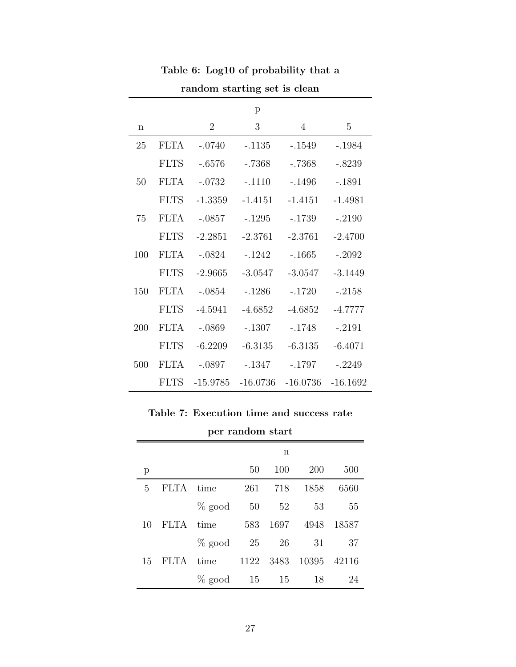|             |             |                | $\rm p$    |                |            |
|-------------|-------------|----------------|------------|----------------|------------|
| $\mathbf n$ |             | $\overline{2}$ | 3          | $\overline{4}$ | 5          |
| 25          | <b>FLTA</b> | $-.0740$       | $-0.1135$  | $-1549$        | $-.1984$   |
|             | <b>FLTS</b> | $-.6576$       | $-.7368$   | $-.7368$       | $-.8239$   |
| 50          | <b>FLTA</b> | $-.0732$       | $-.1110$   | $-.1496$       | $-.1891$   |
|             | <b>FLTS</b> | $-1.3359$      | $-1.4151$  | $-1.4151$      | $-1.4981$  |
| 75          | <b>FLTA</b> | $-.0857$       | $-.1295$   | $-.1739$       | $-.2190$   |
|             | <b>FLTS</b> | $-2.2851$      | $-2.3761$  | $-2.3761$      | $-2.4700$  |
| 100         | <b>FLTA</b> | $-.0824$       | $-1242$    | $-1665$        | $-.2092$   |
|             | <b>FLTS</b> | $-2.9665$      | $-3.0547$  | $-3.0547$      | $-3.1449$  |
| 150         | <b>FLTA</b> | $-.0854$       | $-.1286$   | $-.1720$       | $-.2158$   |
|             | <b>FLTS</b> | $-4.5941$      | $-4.6852$  | $-4.6852$      | $-4.7777$  |
| 200         | <b>FLTA</b> | $-.0869$       | $-.1307$   | $-.1748$       | $-.2191$   |
|             | <b>FLTS</b> | $-6.2209$      | $-6.3135$  | $-6.3135$      | $-6.4071$  |
| 500         | <b>FLTA</b> | $-.0897$       | $-.1347$   | $-.1797$       | $-.2249$   |
|             | <b>FLTS</b> | $-15.9785$     | $-16.0736$ | $-16.0736$     | $-16.1692$ |

**Table 6: Log10 of probability that a**

**random starting set is clean**

**Table 7: Execution time and success rate**

**per random start**

|    |             |           |      | n    |       |       |
|----|-------------|-----------|------|------|-------|-------|
| р  |             |           | 50   | 100  | 200   | 500   |
| 5  | <b>FLTA</b> | time      | 261  | 718  | 1858  | 6560  |
|    |             | $\%$ good | 50   | - 52 | 53    | 55    |
| 10 | <b>FLTA</b> | time      | 583  | 1697 | 4948  | 18587 |
|    |             | $\%$ good | 25   | -26  | 31    | 37    |
| 15 | <b>FLTA</b> | time      | 1122 | 3483 | 10395 | 42116 |
|    |             | $\%$ good | - 15 | - 15 | 18    | 24    |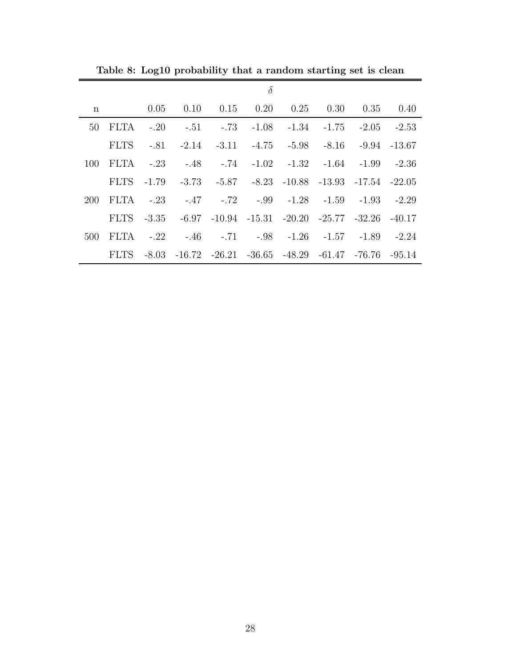|     |  |  | $\delta$ |  |                                                             |  |
|-----|--|--|----------|--|-------------------------------------------------------------|--|
| n   |  |  |          |  | $0.05$ $0.10$ $0.15$ $0.20$ $0.25$ $0.30$ $0.35$ $0.40$     |  |
| 50  |  |  |          |  | FLTA -.20 -.51 -.73 -1.08 -1.34 -1.75 -2.05 -2.53           |  |
|     |  |  |          |  | FLTS -.81 -2.14 -3.11 -4.75 -5.98 -8.16 -9.94 -13.67        |  |
| 100 |  |  |          |  | FLTA -.23 -.48 -.74 -1.02 -1.32 -1.64 -1.99 -2.36           |  |
|     |  |  |          |  | FLTS -1.79 -3.73 -5.87 -8.23 -10.88 -13.93 -17.54 -22.05    |  |
| 200 |  |  |          |  | FLTA -.23 -.47 -.72 -.99 -1.28 -1.59 -1.93 -2.29            |  |
|     |  |  |          |  | FLTS -3.35 -6.97 -10.94 -15.31 -20.20 -25.77 -32.26 -40.17  |  |
|     |  |  |          |  | 500 FLTA - 22 - 46 - 71 - 98 - 1.26 - 1.57 - 1.89 - 2.24    |  |
|     |  |  |          |  | FLTS -8.03 -16.72 -26.21 -36.65 -48.29 -61.47 -76.76 -95.14 |  |

**Table 8: Log10 probability that a random starting set is clean**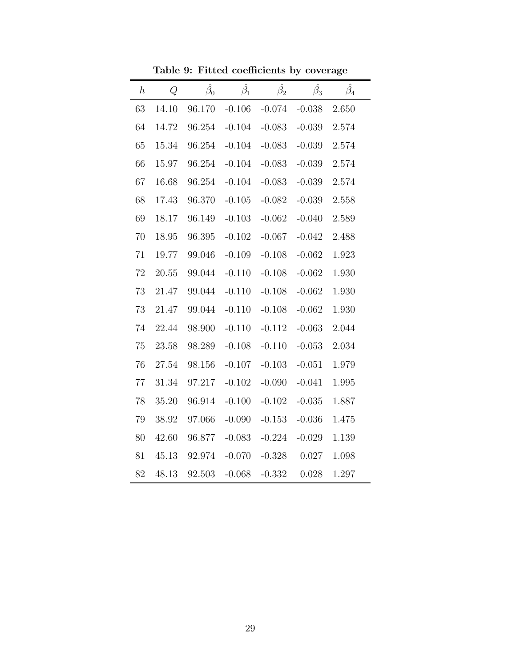| $\boldsymbol{h}$ | Q     | $\hat{\beta_0}$ | $\hat{\beta_1}$ | $\hat{\beta_2}$ | $\hat{\beta_3}$ | $\hat{\beta_4}$ |
|------------------|-------|-----------------|-----------------|-----------------|-----------------|-----------------|
| 63               | 14.10 | 96.170          | $-0.106$        | $-0.074$        | $-0.038$        | 2.650           |
| 64               | 14.72 | 96.254          | $-0.104$        | $-0.083$        | $-0.039$        | 2.574           |
| 65               | 15.34 | 96.254          | $-0.104$        | $-0.083$        | $-0.039$        | 2.574           |
| 66               | 15.97 | 96.254          | $-0.104$        | $-0.083$        | $-0.039$        | 2.574           |
| 67               | 16.68 | 96.254          | $-0.104$        | $-0.083$        | $-0.039$        | 2.574           |
| 68               | 17.43 | 96.370          | $-0.105$        | $-0.082$        | $-0.039$        | 2.558           |
| 69               | 18.17 | 96.149          | $-0.103$        | $-0.062$        | $-0.040$        | 2.589           |
| 70               | 18.95 | 96.395          | $-0.102$        | $-0.067$        | $-0.042$        | 2.488           |
| 71               | 19.77 | 99.046          | $-0.109$        | $-0.108$        | $-0.062$        | 1.923           |
| 72               | 20.55 | 99.044          | $-0.110$        | $-0.108$        | $-0.062$        | 1.930           |
| 73               | 21.47 | 99.044          | $-0.110$        | $-0.108$        | $-0.062$        | 1.930           |
| 73               | 21.47 | 99.044          | $-0.110$        | $-0.108$        | $-0.062$        | 1.930           |
| 74               | 22.44 | 98.900          | $-0.110$        | $-0.112$        | $-0.063$        | 2.044           |
| 75               | 23.58 | 98.289          | $-0.108$        | $-0.110$        | $-0.053$        | 2.034           |
| 76               | 27.54 | 98.156          | $-0.107$        | $-0.103$        | $-0.051$        | 1.979           |
| $77\,$           | 31.34 | 97.217          | $-0.102$        | $-0.090$        | $-0.041$        | 1.995           |
| 78               | 35.20 | 96.914          | $-0.100$        | $-0.102$        | $-0.035$        | 1.887           |
| 79               | 38.92 | 97.066          | $-0.090$        | $-0.153$        | $-0.036$        | 1.475           |
| 80               | 42.60 | 96.877          | $-0.083$        | $-0.224$        | $-0.029$        | 1.139           |
| 81               | 45.13 | 92.974          | $-0.070$        | $-0.328$        | 0.027           | 1.098           |
| 82               | 48.13 | 92.503          | $-0.068$        | $-0.332$        | 0.028           | 1.297           |

**Table 9: Fitted coefficients by coverage**